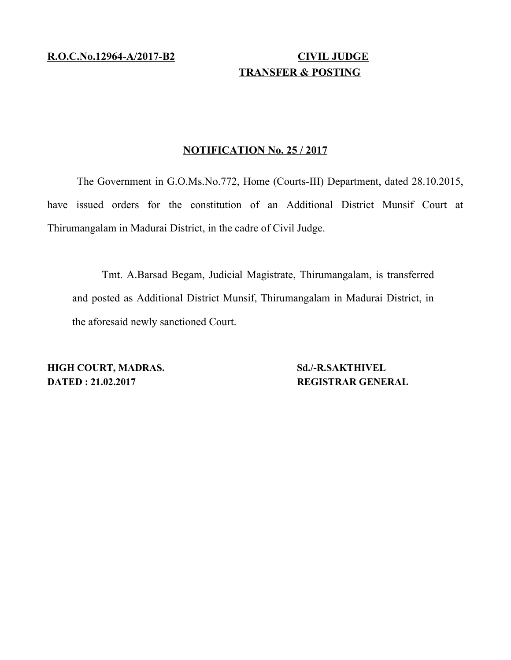## **R.O.C.No.12964-A/2017-B2 CIVIL JUDGE TRANSFER & POSTING**

## **NOTIFICATION No. 25 / 2017**

The Government in G.O.Ms.No.772, Home (Courts-III) Department, dated 28.10.2015, have issued orders for the constitution of an Additional District Munsif Court at Thirumangalam in Madurai District, in the cadre of Civil Judge.

Tmt. A.Barsad Begam, Judicial Magistrate, Thirumangalam, is transferred and posted as Additional District Munsif, Thirumangalam in Madurai District, in the aforesaid newly sanctioned Court.

**HIGH COURT, MADRAS.** Sd./-R.SAKTHIVEL **DATED : 21.02.2017** REGISTRAR GENERAL